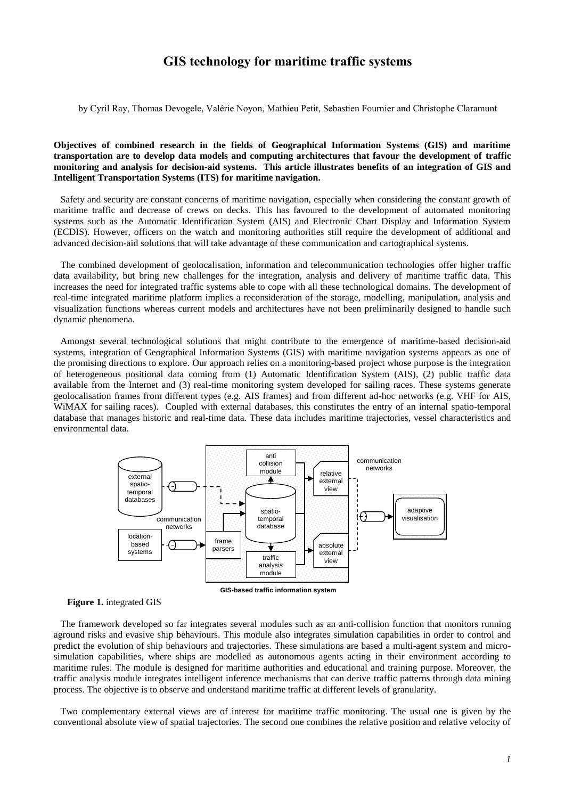## **GIS technology for maritime traffic systems**

by Cyril Ray, Thomas Devogele, Valérie Noyon, Mathieu Petit, Sebastien Fournier and Christophe Claramunt

**Objectives of combined research in the fields of Geographical Information Systems (GIS) and maritime transportation are to develop data models and computing architectures that favour the development of traffic monitoring and analysis for decision-aid systems. This article illustrates benefits of an integration of GIS and Intelligent Transportation Systems (ITS) for maritime navigation.**

Safety and security are constant concerns of maritime navigation, especially when considering the constant growth of maritime traffic and decrease of crews on decks. This has favoured to the development of automated monitoring systems such as the Automatic Identification System (AIS) and Electronic Chart Display and Information System (ECDIS). However, officers on the watch and monitoring authorities still require the development of additional and advanced decision-aid solutions that will take advantage of these communication and cartographical systems.

The combined development of geolocalisation, information and telecommunication technologies offer higher traffic data availability, but bring new challenges for the integration, analysis and delivery of maritime traffic data. This increases the need for integrated traffic systems able to cope with all these technological domains. The development of real-time integrated maritime platform implies a reconsideration of the storage, modelling, manipulation, analysis and visualization functions whereas current models and architectures have not been preliminarily designed to handle such dynamic phenomena.

Amongst several technological solutions that might contribute to the emergence of maritime-based decision-aid systems, integration of Geographical Information Systems (GIS) with maritime navigation systems appears as one of the promising directions to explore. Our approach relies on a monitoring-based project whose purpose is the integration of heterogeneous positional data coming from (1) Automatic Identification System (AIS), (2) public traffic data available from the Internet and (3) real-time monitoring system developed for sailing races. These systems generate geolocalisation frames from different types (e.g. AIS frames) and from different ad-hoc networks (e.g. VHF for AIS, WiMAX for sailing races). Coupled with external databases, this constitutes the entry of an internal spatio-temporal database that manages historic and real-time data. These data includes maritime trajectories, vessel characteristics and environmental data.





The framework developed so far integrates several modules such as an anti-collision function that monitors running aground risks and evasive ship behaviours. This module also integrates simulation capabilities in order to control and predict the evolution of ship behaviours and trajectories. These simulations are based a multi-agent system and microsimulation capabilities, where ships are modelled as autonomous agents acting in their environment according to maritime rules. The module is designed for maritime authorities and educational and training purpose. Moreover, the traffic analysis module integrates intelligent inference mechanisms that can derive traffic patterns through data mining process. The objective is to observe and understand maritime traffic at different levels of granularity.

Two complementary external views are of interest for maritime traffic monitoring. The usual one is given by the conventional absolute view of spatial trajectories. The second one combines the relative position and relative velocity of